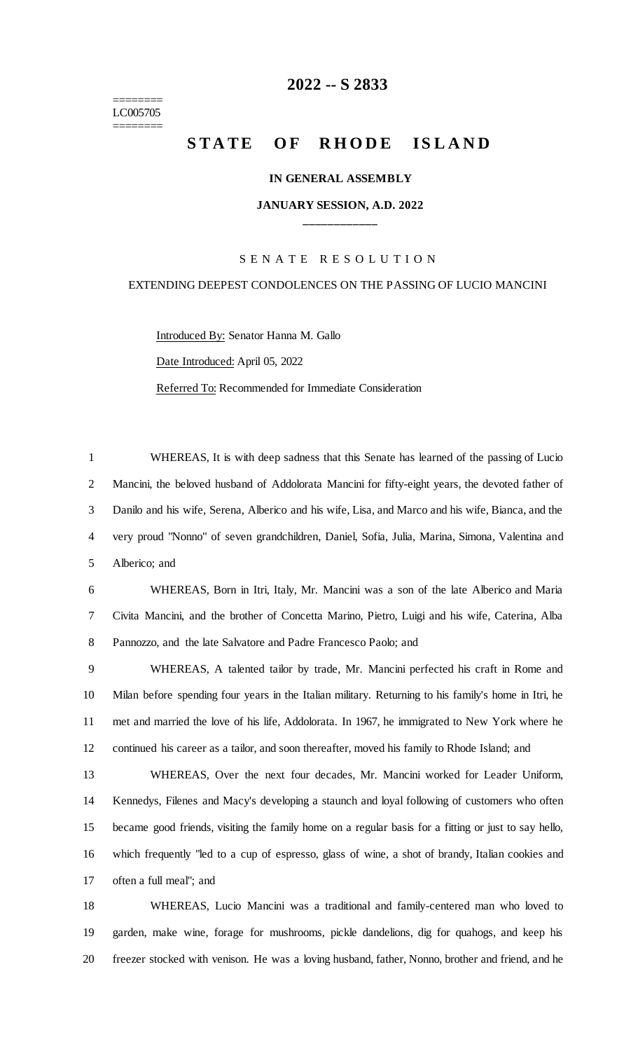======== LC005705 ========

# **-- S 2833**

# **STATE OF RHODE ISLAND**

#### **IN GENERAL ASSEMBLY**

## **JANUARY SESSION, A.D. 2022 \_\_\_\_\_\_\_\_\_\_\_\_**

#### S E N A T E R E S O L U T I O N

## EXTENDING DEEPEST CONDOLENCES ON THE PASSING OF LUCIO MANCINI

Introduced By: Senator Hanna M. Gallo

Date Introduced: April 05, 2022

Referred To: Recommended for Immediate Consideration

 WHEREAS, It is with deep sadness that this Senate has learned of the passing of Lucio Mancini, the beloved husband of Addolorata Mancini for fifty-eight years, the devoted father of Danilo and his wife, Serena, Alberico and his wife, Lisa, and Marco and his wife, Bianca, and the very proud "Nonno" of seven grandchildren, Daniel, Sofia, Julia, Marina, Simona, Valentina and Alberico; and

 WHEREAS, Born in Itri, Italy, Mr. Mancini was a son of the late Alberico and Maria Civita Mancini, and the brother of Concetta Marino, Pietro, Luigi and his wife, Caterina, Alba Pannozzo, and the late Salvatore and Padre Francesco Paolo; and

 WHEREAS, A talented tailor by trade, Mr. Mancini perfected his craft in Rome and Milan before spending four years in the Italian military. Returning to his family's home in Itri, he met and married the love of his life, Addolorata. In 1967, he immigrated to New York where he continued his career as a tailor, and soon thereafter, moved his family to Rhode Island; and

 WHEREAS, Over the next four decades, Mr. Mancini worked for Leader Uniform, Kennedys, Filenes and Macy's developing a staunch and loyal following of customers who often became good friends, visiting the family home on a regular basis for a fitting or just to say hello, which frequently "led to a cup of espresso, glass of wine, a shot of brandy, Italian cookies and often a full meal"; and

 WHEREAS, Lucio Mancini was a traditional and family-centered man who loved to garden, make wine, forage for mushrooms, pickle dandelions, dig for quahogs, and keep his freezer stocked with venison. He was a loving husband, father, Nonno, brother and friend, and he